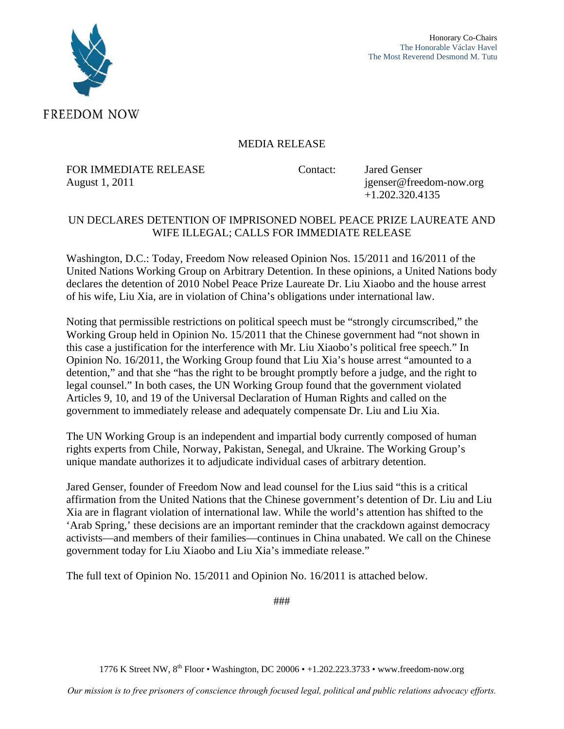

# MEDIA RELEASE

FOR IMMEDIATE RELEASE Contact: Jared Genser August 1, 2011 **jgenser@freedom-now.org** 

+1.202.320.4135

# UN DECLARES DETENTION OF IMPRISONED NOBEL PEACE PRIZE LAUREATE AND WIFE ILLEGAL; CALLS FOR IMMEDIATE RELEASE

Washington, D.C.: Today, Freedom Now released Opinion Nos. 15/2011 and 16/2011 of the United Nations Working Group on Arbitrary Detention. In these opinions, a United Nations body declares the detention of 2010 Nobel Peace Prize Laureate Dr. Liu Xiaobo and the house arrest of his wife, Liu Xia, are in violation of China's obligations under international law.

Noting that permissible restrictions on political speech must be "strongly circumscribed," the Working Group held in Opinion No. 15/2011 that the Chinese government had "not shown in this case a justification for the interference with Mr. Liu Xiaobo's political free speech." In Opinion No. 16/2011, the Working Group found that Liu Xia's house arrest "amounted to a detention," and that she "has the right to be brought promptly before a judge, and the right to legal counsel." In both cases, the UN Working Group found that the government violated Articles 9, 10, and 19 of the Universal Declaration of Human Rights and called on the government to immediately release and adequately compensate Dr. Liu and Liu Xia.

The UN Working Group is an independent and impartial body currently composed of human rights experts from Chile, Norway, Pakistan, Senegal, and Ukraine. The Working Group's unique mandate authorizes it to adjudicate individual cases of arbitrary detention.

Jared Genser, founder of Freedom Now and lead counsel for the Lius said "this is a critical affirmation from the United Nations that the Chinese government's detention of Dr. Liu and Liu Xia are in flagrant violation of international law. While the world's attention has shifted to the 'Arab Spring,' these decisions are an important reminder that the crackdown against democracy activists—and members of their families—continues in China unabated. We call on the Chinese government today for Liu Xiaobo and Liu Xia's immediate release."

The full text of Opinion No. 15/2011 and Opinion No. 16/2011 is attached below.

###

1776 K Street NW, 8<sup>th</sup> Floor • Washington, DC 20006 • +1.202.223.3733 • www.freedom-now.org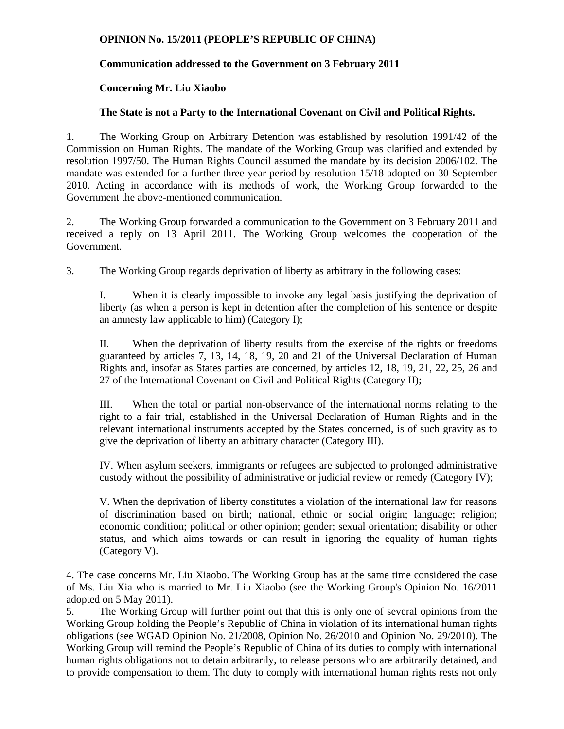#### **OPINION No. 15/2011 (PEOPLE'S REPUBLIC OF CHINA)**

# **Communication addressed to the Government on 3 February 2011**

## **Concerning Mr. Liu Xiaobo**

## **The State is not a Party to the International Covenant on Civil and Political Rights.**

1. The Working Group on Arbitrary Detention was established by resolution 1991/42 of the Commission on Human Rights. The mandate of the Working Group was clarified and extended by resolution 1997/50. The Human Rights Council assumed the mandate by its decision 2006/102. The mandate was extended for a further three-year period by resolution 15/18 adopted on 30 September 2010. Acting in accordance with its methods of work, the Working Group forwarded to the Government the above-mentioned communication.

2. The Working Group forwarded a communication to the Government on 3 February 2011 and received a reply on 13 April 2011. The Working Group welcomes the cooperation of the Government.

3. The Working Group regards deprivation of liberty as arbitrary in the following cases:

I. When it is clearly impossible to invoke any legal basis justifying the deprivation of liberty (as when a person is kept in detention after the completion of his sentence or despite an amnesty law applicable to him) (Category I);

II. When the deprivation of liberty results from the exercise of the rights or freedoms guaranteed by articles 7, 13, 14, 18, 19, 20 and 21 of the Universal Declaration of Human Rights and, insofar as States parties are concerned, by articles 12, 18, 19, 21, 22, 25, 26 and 27 of the International Covenant on Civil and Political Rights (Category II);

III. When the total or partial non-observance of the international norms relating to the right to a fair trial, established in the Universal Declaration of Human Rights and in the relevant international instruments accepted by the States concerned, is of such gravity as to give the deprivation of liberty an arbitrary character (Category III).

IV. When asylum seekers, immigrants or refugees are subjected to prolonged administrative custody without the possibility of administrative or judicial review or remedy (Category IV);

V. When the deprivation of liberty constitutes a violation of the international law for reasons of discrimination based on birth; national, ethnic or social origin; language; religion; economic condition; political or other opinion; gender; sexual orientation; disability or other status, and which aims towards or can result in ignoring the equality of human rights (Category V).

4. The case concerns Mr. Liu Xiaobo. The Working Group has at the same time considered the case of Ms. Liu Xia who is married to Mr. Liu Xiaobo (see the Working Group's Opinion No. 16/2011 adopted on 5 May 2011).

5. The Working Group will further point out that this is only one of several opinions from the Working Group holding the People's Republic of China in violation of its international human rights obligations (see WGAD Opinion No. 21/2008, Opinion No. 26/2010 and Opinion No. 29/2010). The Working Group will remind the People's Republic of China of its duties to comply with international human rights obligations not to detain arbitrarily, to release persons who are arbitrarily detained, and to provide compensation to them. The duty to comply with international human rights rests not only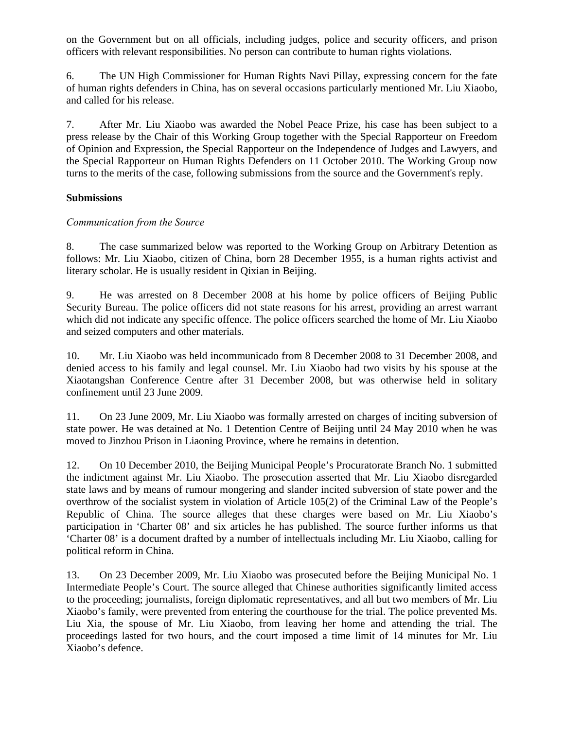on the Government but on all officials, including judges, police and security officers, and prison officers with relevant responsibilities. No person can contribute to human rights violations.

6. The UN High Commissioner for Human Rights Navi Pillay, expressing concern for the fate of human rights defenders in China, has on several occasions particularly mentioned Mr. Liu Xiaobo, and called for his release.

7. After Mr. Liu Xiaobo was awarded the Nobel Peace Prize, his case has been subject to a press release by the Chair of this Working Group together with the Special Rapporteur on Freedom of Opinion and Expression, the Special Rapporteur on the Independence of Judges and Lawyers, and the Special Rapporteur on Human Rights Defenders on 11 October 2010. The Working Group now turns to the merits of the case, following submissions from the source and the Government's reply.

#### **Submissions**

#### *Communication from the Source*

8. The case summarized below was reported to the Working Group on Arbitrary Detention as follows: Mr. Liu Xiaobo, citizen of China, born 28 December 1955, is a human rights activist and literary scholar. He is usually resident in Qixian in Beijing.

9. He was arrested on 8 December 2008 at his home by police officers of Beijing Public Security Bureau. The police officers did not state reasons for his arrest, providing an arrest warrant which did not indicate any specific offence. The police officers searched the home of Mr. Liu Xiaobo and seized computers and other materials.

10. Mr. Liu Xiaobo was held incommunicado from 8 December 2008 to 31 December 2008, and denied access to his family and legal counsel. Mr. Liu Xiaobo had two visits by his spouse at the Xiaotangshan Conference Centre after 31 December 2008, but was otherwise held in solitary confinement until 23 June 2009.

11. On 23 June 2009, Mr. Liu Xiaobo was formally arrested on charges of inciting subversion of state power. He was detained at No. 1 Detention Centre of Beijing until 24 May 2010 when he was moved to Jinzhou Prison in Liaoning Province, where he remains in detention.

12. On 10 December 2010, the Beijing Municipal People's Procuratorate Branch No. 1 submitted the indictment against Mr. Liu Xiaobo. The prosecution asserted that Mr. Liu Xiaobo disregarded state laws and by means of rumour mongering and slander incited subversion of state power and the overthrow of the socialist system in violation of Article 105(2) of the Criminal Law of the People's Republic of China. The source alleges that these charges were based on Mr. Liu Xiaobo's participation in 'Charter 08' and six articles he has published. The source further informs us that 'Charter 08' is a document drafted by a number of intellectuals including Mr. Liu Xiaobo, calling for political reform in China.

13. On 23 December 2009, Mr. Liu Xiaobo was prosecuted before the Beijing Municipal No. 1 Intermediate People's Court. The source alleged that Chinese authorities significantly limited access to the proceeding; journalists, foreign diplomatic representatives, and all but two members of Mr. Liu Xiaobo's family, were prevented from entering the courthouse for the trial. The police prevented Ms. Liu Xia, the spouse of Mr. Liu Xiaobo, from leaving her home and attending the trial. The proceedings lasted for two hours, and the court imposed a time limit of 14 minutes for Mr. Liu Xiaobo's defence.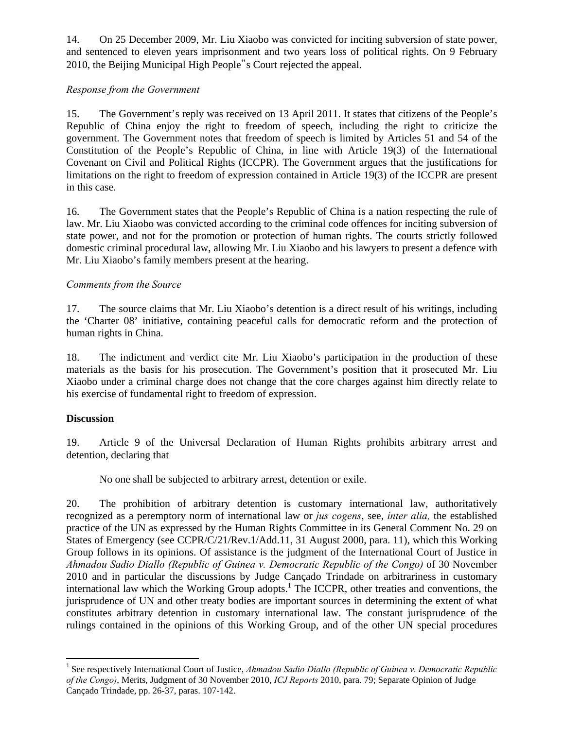14. On 25 December 2009, Mr. Liu Xiaobo was convicted for inciting subversion of state power, and sentenced to eleven years imprisonment and two years loss of political rights. On 9 February 2010, the Beijing Municipal High People"s Court rejected the appeal.

## *Response from the Government*

15. The Government's reply was received on 13 April 2011. It states that citizens of the People's Republic of China enjoy the right to freedom of speech, including the right to criticize the government. The Government notes that freedom of speech is limited by Articles 51 and 54 of the Constitution of the People's Republic of China, in line with Article 19(3) of the International Covenant on Civil and Political Rights (ICCPR). The Government argues that the justifications for limitations on the right to freedom of expression contained in Article 19(3) of the ICCPR are present in this case.

16. The Government states that the People's Republic of China is a nation respecting the rule of law. Mr. Liu Xiaobo was convicted according to the criminal code offences for inciting subversion of state power, and not for the promotion or protection of human rights. The courts strictly followed domestic criminal procedural law, allowing Mr. Liu Xiaobo and his lawyers to present a defence with Mr. Liu Xiaobo's family members present at the hearing.

## *Comments from the Source*

17. The source claims that Mr. Liu Xiaobo's detention is a direct result of his writings, including the 'Charter 08' initiative, containing peaceful calls for democratic reform and the protection of human rights in China.

18. The indictment and verdict cite Mr. Liu Xiaobo's participation in the production of these materials as the basis for his prosecution. The Government's position that it prosecuted Mr. Liu Xiaobo under a criminal charge does not change that the core charges against him directly relate to his exercise of fundamental right to freedom of expression.

#### **Discussion**

19. Article 9 of the Universal Declaration of Human Rights prohibits arbitrary arrest and detention, declaring that

No one shall be subjected to arbitrary arrest, detention or exile.

20. The prohibition of arbitrary detention is customary international law, authoritatively recognized as a peremptory norm of international law or *jus cogens*, see, *inter alia,* the established practice of the UN as expressed by the Human Rights Committee in its General Comment No. 29 on States of Emergency (see CCPR/C/21/Rev.1/Add.11, 31 August 2000, para. 11), which this Working Group follows in its opinions. Of assistance is the judgment of the International Court of Justice in *Ahmadou Sadio Diallo (Republic of Guinea v. Democratic Republic of the Congo)* of 30 November 2010 and in particular the discussions by Judge Cançado Trindade on arbitrariness in customary international law which the Working Group adopts.<sup>1</sup> The ICCPR, other treaties and conventions, the jurisprudence of UN and other treaty bodies are important sources in determining the extent of what constitutes arbitrary detention in customary international law. The constant jurisprudence of the rulings contained in the opinions of this Working Group, and of the other UN special procedures

<sup>1</sup> See respectively International Court of Justice, *Ahmadou Sadio Diallo (Republic of Guinea v. Democratic Republic of the Congo)*, Merits, Judgment of 30 November 2010, *ICJ Reports* 2010, para. 79; Separate Opinion of Judge Cançado Trindade, pp. 26-37, paras. 107-142.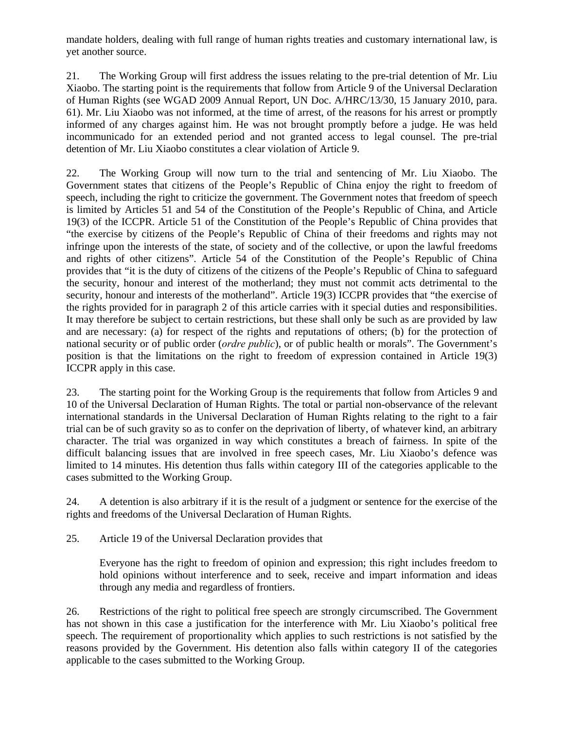mandate holders, dealing with full range of human rights treaties and customary international law, is yet another source.

21. The Working Group will first address the issues relating to the pre-trial detention of Mr. Liu Xiaobo. The starting point is the requirements that follow from Article 9 of the Universal Declaration of Human Rights (see WGAD 2009 Annual Report, UN Doc. A/HRC/13/30, 15 January 2010, para. 61). Mr. Liu Xiaobo was not informed, at the time of arrest, of the reasons for his arrest or promptly informed of any charges against him. He was not brought promptly before a judge. He was held incommunicado for an extended period and not granted access to legal counsel. The pre-trial detention of Mr. Liu Xiaobo constitutes a clear violation of Article 9.

22. The Working Group will now turn to the trial and sentencing of Mr. Liu Xiaobo. The Government states that citizens of the People's Republic of China enjoy the right to freedom of speech, including the right to criticize the government. The Government notes that freedom of speech is limited by Articles 51 and 54 of the Constitution of the People's Republic of China, and Article 19(3) of the ICCPR. Article 51 of the Constitution of the People's Republic of China provides that "the exercise by citizens of the People's Republic of China of their freedoms and rights may not infringe upon the interests of the state, of society and of the collective, or upon the lawful freedoms and rights of other citizens". Article 54 of the Constitution of the People's Republic of China provides that "it is the duty of citizens of the citizens of the People's Republic of China to safeguard the security, honour and interest of the motherland; they must not commit acts detrimental to the security, honour and interests of the motherland". Article 19(3) ICCPR provides that "the exercise of the rights provided for in paragraph 2 of this article carries with it special duties and responsibilities. It may therefore be subject to certain restrictions, but these shall only be such as are provided by law and are necessary: (a) for respect of the rights and reputations of others; (b) for the protection of national security or of public order (*ordre public*), or of public health or morals". The Government's position is that the limitations on the right to freedom of expression contained in Article 19(3) ICCPR apply in this case.

23. The starting point for the Working Group is the requirements that follow from Articles 9 and 10 of the Universal Declaration of Human Rights. The total or partial non-observance of the relevant international standards in the Universal Declaration of Human Rights relating to the right to a fair trial can be of such gravity so as to confer on the deprivation of liberty, of whatever kind, an arbitrary character. The trial was organized in way which constitutes a breach of fairness. In spite of the difficult balancing issues that are involved in free speech cases, Mr. Liu Xiaobo's defence was limited to 14 minutes. His detention thus falls within category III of the categories applicable to the cases submitted to the Working Group.

24. A detention is also arbitrary if it is the result of a judgment or sentence for the exercise of the rights and freedoms of the Universal Declaration of Human Rights.

25. Article 19 of the Universal Declaration provides that

Everyone has the right to freedom of opinion and expression; this right includes freedom to hold opinions without interference and to seek, receive and impart information and ideas through any media and regardless of frontiers.

26. Restrictions of the right to political free speech are strongly circumscribed. The Government has not shown in this case a justification for the interference with Mr. Liu Xiaobo's political free speech. The requirement of proportionality which applies to such restrictions is not satisfied by the reasons provided by the Government. His detention also falls within category II of the categories applicable to the cases submitted to the Working Group.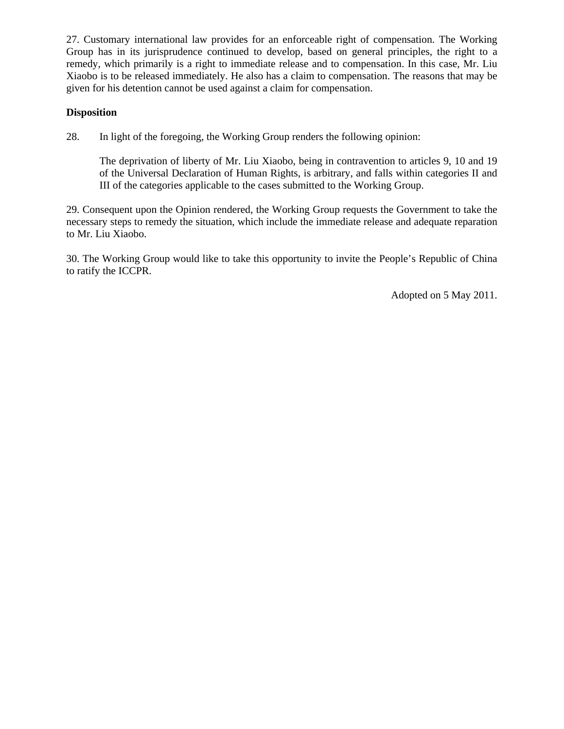27. Customary international law provides for an enforceable right of compensation. The Working Group has in its jurisprudence continued to develop, based on general principles, the right to a remedy, which primarily is a right to immediate release and to compensation. In this case, Mr. Liu Xiaobo is to be released immediately. He also has a claim to compensation. The reasons that may be given for his detention cannot be used against a claim for compensation.

#### **Disposition**

28. In light of the foregoing, the Working Group renders the following opinion:

The deprivation of liberty of Mr. Liu Xiaobo, being in contravention to articles 9, 10 and 19 of the Universal Declaration of Human Rights, is arbitrary, and falls within categories II and III of the categories applicable to the cases submitted to the Working Group.

29. Consequent upon the Opinion rendered, the Working Group requests the Government to take the necessary steps to remedy the situation, which include the immediate release and adequate reparation to Mr. Liu Xiaobo.

30. The Working Group would like to take this opportunity to invite the People's Republic of China to ratify the ICCPR.

Adopted on 5 May 2011.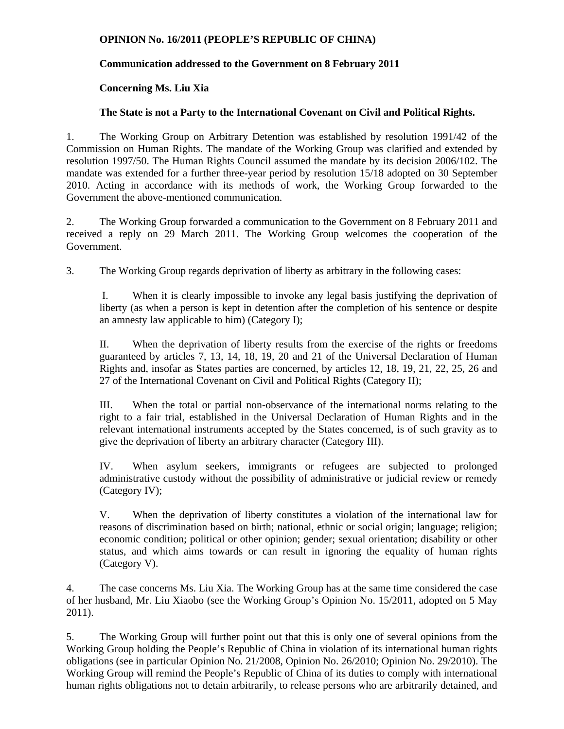#### **OPINION No. 16/2011 (PEOPLE'S REPUBLIC OF CHINA)**

# **Communication addressed to the Government on 8 February 2011**

## **Concerning Ms. Liu Xia**

## **The State is not a Party to the International Covenant on Civil and Political Rights.**

1. The Working Group on Arbitrary Detention was established by resolution 1991/42 of the Commission on Human Rights. The mandate of the Working Group was clarified and extended by resolution 1997/50. The Human Rights Council assumed the mandate by its decision 2006/102. The mandate was extended for a further three-year period by resolution 15/18 adopted on 30 September 2010. Acting in accordance with its methods of work, the Working Group forwarded to the Government the above-mentioned communication.

2. The Working Group forwarded a communication to the Government on 8 February 2011 and received a reply on 29 March 2011. The Working Group welcomes the cooperation of the Government.

3. The Working Group regards deprivation of liberty as arbitrary in the following cases:

I. When it is clearly impossible to invoke any legal basis justifying the deprivation of liberty (as when a person is kept in detention after the completion of his sentence or despite an amnesty law applicable to him) (Category I);

II. When the deprivation of liberty results from the exercise of the rights or freedoms guaranteed by articles 7, 13, 14, 18, 19, 20 and 21 of the Universal Declaration of Human Rights and, insofar as States parties are concerned, by articles 12, 18, 19, 21, 22, 25, 26 and 27 of the International Covenant on Civil and Political Rights (Category II);

III. When the total or partial non-observance of the international norms relating to the right to a fair trial, established in the Universal Declaration of Human Rights and in the relevant international instruments accepted by the States concerned, is of such gravity as to give the deprivation of liberty an arbitrary character (Category III).

IV. When asylum seekers, immigrants or refugees are subjected to prolonged administrative custody without the possibility of administrative or judicial review or remedy (Category IV);

V. When the deprivation of liberty constitutes a violation of the international law for reasons of discrimination based on birth; national, ethnic or social origin; language; religion; economic condition; political or other opinion; gender; sexual orientation; disability or other status, and which aims towards or can result in ignoring the equality of human rights (Category V).

4. The case concerns Ms. Liu Xia. The Working Group has at the same time considered the case of her husband, Mr. Liu Xiaobo (see the Working Group's Opinion No. 15/2011, adopted on 5 May 2011).

5. The Working Group will further point out that this is only one of several opinions from the Working Group holding the People's Republic of China in violation of its international human rights obligations (see in particular Opinion No. 21/2008, Opinion No. 26/2010; Opinion No. 29/2010). The Working Group will remind the People's Republic of China of its duties to comply with international human rights obligations not to detain arbitrarily, to release persons who are arbitrarily detained, and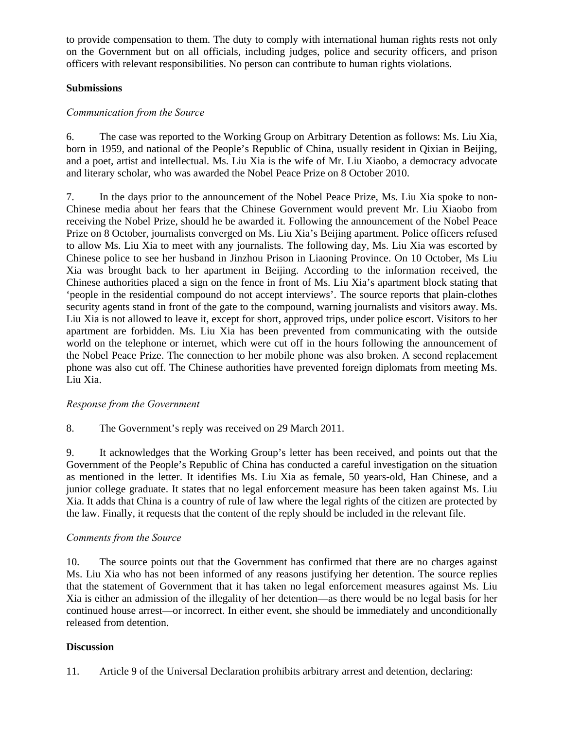to provide compensation to them. The duty to comply with international human rights rests not only on the Government but on all officials, including judges, police and security officers, and prison officers with relevant responsibilities. No person can contribute to human rights violations.

## **Submissions**

# *Communication from the Source*

6. The case was reported to the Working Group on Arbitrary Detention as follows: Ms. Liu Xia, born in 1959, and national of the People's Republic of China, usually resident in Qixian in Beijing, and a poet, artist and intellectual. Ms. Liu Xia is the wife of Mr. Liu Xiaobo, a democracy advocate and literary scholar, who was awarded the Nobel Peace Prize on 8 October 2010.

7. In the days prior to the announcement of the Nobel Peace Prize, Ms. Liu Xia spoke to non-Chinese media about her fears that the Chinese Government would prevent Mr. Liu Xiaobo from receiving the Nobel Prize, should he be awarded it. Following the announcement of the Nobel Peace Prize on 8 October, journalists converged on Ms. Liu Xia's Beijing apartment. Police officers refused to allow Ms. Liu Xia to meet with any journalists. The following day, Ms. Liu Xia was escorted by Chinese police to see her husband in Jinzhou Prison in Liaoning Province. On 10 October, Ms Liu Xia was brought back to her apartment in Beijing. According to the information received, the Chinese authorities placed a sign on the fence in front of Ms. Liu Xia's apartment block stating that 'people in the residential compound do not accept interviews'. The source reports that plain-clothes security agents stand in front of the gate to the compound, warning journalists and visitors away. Ms. Liu Xia is not allowed to leave it, except for short, approved trips, under police escort. Visitors to her apartment are forbidden. Ms. Liu Xia has been prevented from communicating with the outside world on the telephone or internet, which were cut off in the hours following the announcement of the Nobel Peace Prize. The connection to her mobile phone was also broken. A second replacement phone was also cut off. The Chinese authorities have prevented foreign diplomats from meeting Ms. Liu Xia.

#### *Response from the Government*

8. The Government's reply was received on 29 March 2011.

9. It acknowledges that the Working Group's letter has been received, and points out that the Government of the People's Republic of China has conducted a careful investigation on the situation as mentioned in the letter. It identifies Ms. Liu Xia as female, 50 years-old, Han Chinese, and a junior college graduate. It states that no legal enforcement measure has been taken against Ms. Liu Xia. It adds that China is a country of rule of law where the legal rights of the citizen are protected by the law. Finally, it requests that the content of the reply should be included in the relevant file.

#### *Comments from the Source*

10. The source points out that the Government has confirmed that there are no charges against Ms. Liu Xia who has not been informed of any reasons justifying her detention. The source replies that the statement of Government that it has taken no legal enforcement measures against Ms. Liu Xia is either an admission of the illegality of her detention—as there would be no legal basis for her continued house arrest—or incorrect. In either event, she should be immediately and unconditionally released from detention.

#### **Discussion**

11. Article 9 of the Universal Declaration prohibits arbitrary arrest and detention, declaring: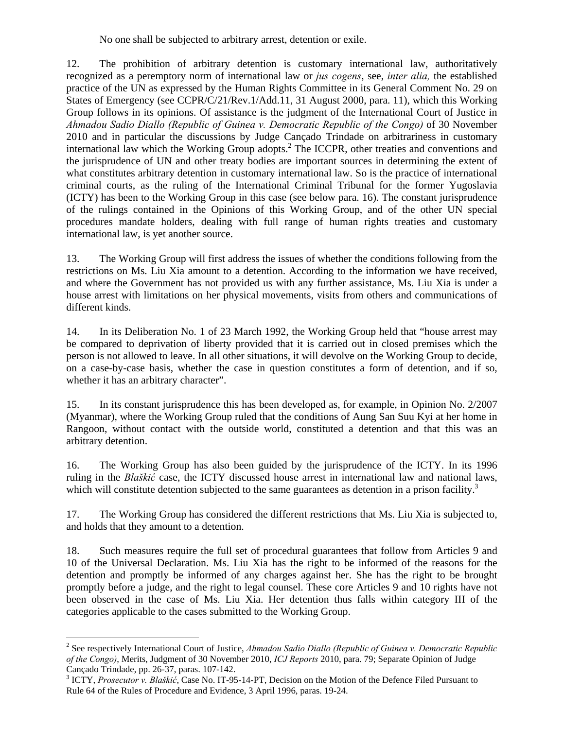No one shall be subjected to arbitrary arrest, detention or exile.

12. The prohibition of arbitrary detention is customary international law, authoritatively recognized as a peremptory norm of international law or *jus cogens*, see, *inter alia,* the established practice of the UN as expressed by the Human Rights Committee in its General Comment No. 29 on States of Emergency (see CCPR/C/21/Rev.1/Add.11, 31 August 2000, para. 11), which this Working Group follows in its opinions. Of assistance is the judgment of the International Court of Justice in *Ahmadou Sadio Diallo (Republic of Guinea v. Democratic Republic of the Congo)* of 30 November 2010 and in particular the discussions by Judge Cançado Trindade on arbitrariness in customary international law which the Working Group adopts.<sup>2</sup> The ICCPR, other treaties and conventions and the jurisprudence of UN and other treaty bodies are important sources in determining the extent of what constitutes arbitrary detention in customary international law. So is the practice of international criminal courts, as the ruling of the International Criminal Tribunal for the former Yugoslavia (ICTY) has been to the Working Group in this case (see below para. 16). The constant jurisprudence of the rulings contained in the Opinions of this Working Group, and of the other UN special procedures mandate holders, dealing with full range of human rights treaties and customary international law, is yet another source.

13. The Working Group will first address the issues of whether the conditions following from the restrictions on Ms. Liu Xia amount to a detention. According to the information we have received, and where the Government has not provided us with any further assistance, Ms. Liu Xia is under a house arrest with limitations on her physical movements, visits from others and communications of different kinds.

14. In its Deliberation No. 1 of 23 March 1992, the Working Group held that "house arrest may be compared to deprivation of liberty provided that it is carried out in closed premises which the person is not allowed to leave. In all other situations, it will devolve on the Working Group to decide, on a case-by-case basis, whether the case in question constitutes a form of detention, and if so, whether it has an arbitrary character".

15. In its constant jurisprudence this has been developed as, for example, in Opinion No. 2/2007 (Myanmar), where the Working Group ruled that the conditions of Aung San Suu Kyi at her home in Rangoon, without contact with the outside world, constituted a detention and that this was an arbitrary detention.

16. The Working Group has also been guided by the jurisprudence of the ICTY. In its 1996 ruling in the *Blaškić* case, the ICTY discussed house arrest in international law and national laws, which will constitute detention subjected to the same guarantees as detention in a prison facility.<sup>3</sup>

17. The Working Group has considered the different restrictions that Ms. Liu Xia is subjected to, and holds that they amount to a detention.

18. Such measures require the full set of procedural guarantees that follow from Articles 9 and 10 of the Universal Declaration. Ms. Liu Xia has the right to be informed of the reasons for the detention and promptly be informed of any charges against her. She has the right to be brought promptly before a judge, and the right to legal counsel. These core Articles 9 and 10 rights have not been observed in the case of Ms. Liu Xia. Her detention thus falls within category III of the categories applicable to the cases submitted to the Working Group.

<sup>2</sup> See respectively International Court of Justice, *Ahmadou Sadio Diallo (Republic of Guinea v. Democratic Republic of the Congo)*, Merits, Judgment of 30 November 2010, *ICJ Reports* 2010, para. 79; Separate Opinion of Judge Cançado Trindade, pp. 26-37, paras. 107-142.

<sup>3</sup> ICTY, *Prosecutor v. Blaškić*, Case No. IT-95-14-PT, Decision on the Motion of the Defence Filed Pursuant to Rule 64 of the Rules of Procedure and Evidence, 3 April 1996, paras. 19-24.